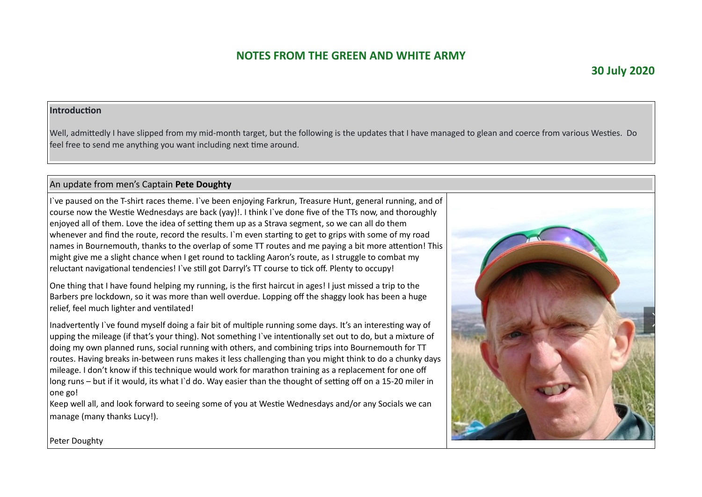#### **Introduction**

Well, admittedly I have slipped from my mid-month target, but the following is the updates that I have managed to glean and coerce from various Westies. Do feel free to send me anything you want including next time around.

### An update from men's Captain **Pete Doughty**

I`ve paused on the T-shirt races theme. I`ve been enjoying Farkrun, Treasure Hunt, general running, and of course now the Westie Wednesdays are back (yay)!. I think I`ve done five of the TTs now, and thoroughly enjoyed all of them. Love the idea of setting them up as a Strava segment, so we can all do them whenever and find the route, record the results. I`m even starting to get to grips with some of my road names in Bournemouth, thanks to the overlap of some TT routes and me paying a bit more attention! This might give me a slight chance when I get round to tackling Aaron's route, as I struggle to combat my reluctant navigational tendencies! I`ve still got Darryl's TT course to tick off. Plenty to occupy!

One thing that I have found helping my running, is the first haircut in ages! I just missed a trip to the Barbers pre lockdown, so it was more than well overdue. Lopping off the shaggy look has been a huge relief, feel much lighter and ventilated!

Inadvertently I`ve found myself doing a fair bit of multiple running some days. It's an interesting way of upping the mileage (if that's your thing). Not something I`ve intentionally set out to do, but a mixture of doing my own planned runs, social running with others, and combining trips into Bournemouth for TT routes. Having breaks in-between runs makes it less challenging than you might think to do a chunky days mileage. I don't know if this technique would work for marathon training as a replacement for one off long runs – but if it would, its what I`d do. Way easier than the thought of setting off on a 15-20 miler in one go!

Keep well all, and look forward to seeing some of you at Westie Wednesdays and/or any Socials we can manage (many thanks Lucy!).



Peter Doughty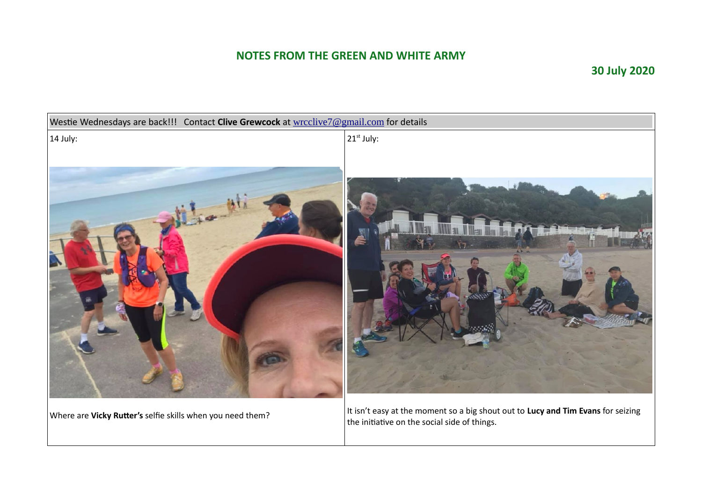# **30 July 2020**



Where are **Vicky Rutter's** selfie skills when you need them?

It isn't easy at the moment so a big shout out to **Lucy and Tim Evans** for seizing the initiative on the social side of things.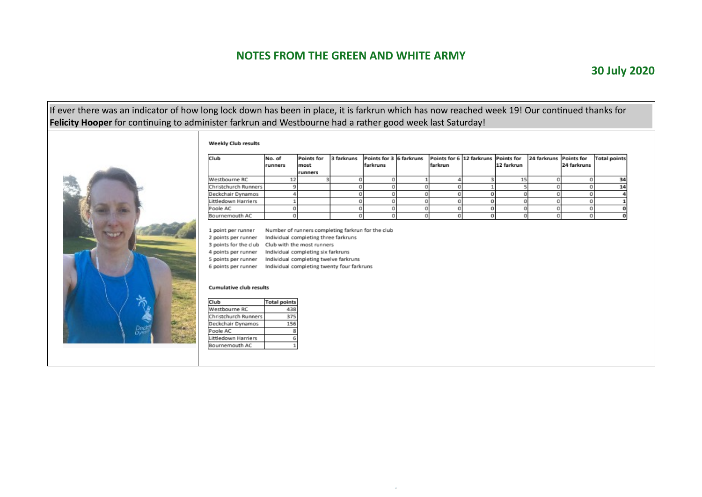### If ever there was an indicator of how long lock down has been in place, it is farkrun which has now reached week 19! Our continued thanks for **Felicity Hooper** for continuing to administer farkrun and Westbourne had a rather good week last Saturday!

#### Weekly Club results

F



| Club                                                                         | No. of              | Points for                            | 3 farkruns                                 | Points for 3 6 farkruns |   | Points for 6 12 farkruns |   | Points for | 24 farkruns | <b>Points for</b> | <b>Total points</b> |
|------------------------------------------------------------------------------|---------------------|---------------------------------------|--------------------------------------------|-------------------------|---|--------------------------|---|------------|-------------|-------------------|---------------------|
|                                                                              | runners             | most                                  |                                            | farkruns                |   | farkrun                  |   | 12 farkrun |             | 24 farkruns       |                     |
|                                                                              |                     | runners                               |                                            |                         |   |                          |   |            |             |                   |                     |
| Westbourne RC                                                                | 12                  | 3                                     | o                                          | 0                       |   |                          | з | 15         | a           | $\Omega$          | 34                  |
| Christchurch Runners                                                         | 9                   |                                       | о                                          | o                       |   |                          |   |            | O           | o                 | 14                  |
| Deckchair Dynamos                                                            | 4                   |                                       | о                                          | 0                       |   |                          | 0 | 0          | O           | $\Omega$          |                     |
| Littledown Harriers                                                          |                     |                                       | O                                          | 0                       | Ö | O                        | 0 | 0          | O           | 0                 |                     |
| Poole AC                                                                     | 0                   |                                       | a                                          | 0                       | O | O                        | 0 | 0          | 0           | 0                 |                     |
| Bournemouth AC                                                               | 0                   |                                       | O                                          | 0                       | Ö | O                        | 0 | 0          | O           | 0                 |                     |
| 5 points per runner<br>6 points per runner<br><b>Cumulative club results</b> |                     | Individual completing twelve farkruns | Individual completing twenty four farkruns |                         |   |                          |   |            |             |                   |                     |
| Club                                                                         | <b>Total points</b> |                                       |                                            |                         |   |                          |   |            |             |                   |                     |
| <b>Westbourne RC</b>                                                         | 438                 |                                       |                                            |                         |   |                          |   |            |             |                   |                     |
| Christchurch Runners                                                         | 375                 |                                       |                                            |                         |   |                          |   |            |             |                   |                     |
| Deckchair Dynamos                                                            | 156                 |                                       |                                            |                         |   |                          |   |            |             |                   |                     |
| Poole AC                                                                     | 8                   |                                       |                                            |                         |   |                          |   |            |             |                   |                     |
| Littledown Harriers                                                          | 6                   |                                       |                                            |                         |   |                          |   |            |             |                   |                     |
| Bournemouth AC                                                               |                     |                                       |                                            |                         |   |                          |   |            |             |                   |                     |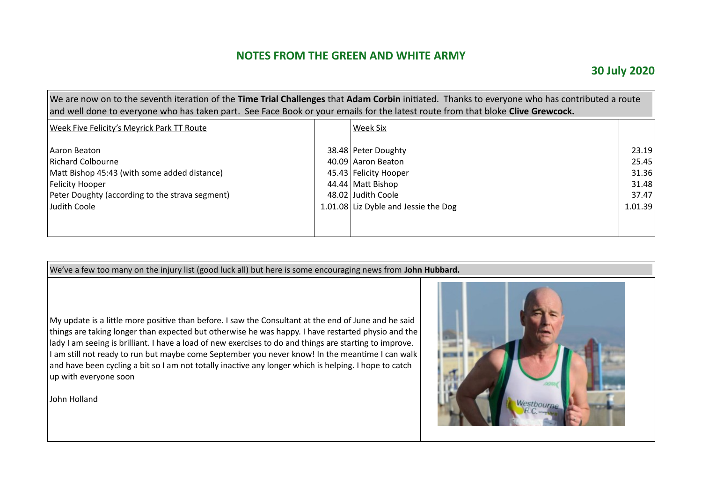### **30 July 2020**

| We are now on to the seventh iteration of the Time Trial Challenges that Adam Corbin initiated. Thanks to everyone who has contributed a route<br>and well done to everyone who has taken part. See Face Book or your emails for the latest route from that bloke Clive Grewcock. |  |                                      |         |  |  |  |  |  |
|-----------------------------------------------------------------------------------------------------------------------------------------------------------------------------------------------------------------------------------------------------------------------------------|--|--------------------------------------|---------|--|--|--|--|--|
| <b>Week Five Felicity's Meyrick Park TT Route</b>                                                                                                                                                                                                                                 |  | Week Six                             |         |  |  |  |  |  |
| Aaron Beaton                                                                                                                                                                                                                                                                      |  | 38.48 Peter Doughty                  | 23.19   |  |  |  |  |  |
| Richard Colbourne                                                                                                                                                                                                                                                                 |  | 40.09 Aaron Beaton                   | 25.45   |  |  |  |  |  |
| Matt Bishop 45:43 (with some added distance)                                                                                                                                                                                                                                      |  | 45.43 Felicity Hooper                | 31.36   |  |  |  |  |  |
| Felicity Hooper                                                                                                                                                                                                                                                                   |  | 44.44 Matt Bishop                    | 31.48   |  |  |  |  |  |
| Peter Doughty (according to the strava segment)                                                                                                                                                                                                                                   |  | 48.02 Judith Coole                   | 37.47   |  |  |  |  |  |
| Judith Coole                                                                                                                                                                                                                                                                      |  | 1.01.08 Liz Dyble and Jessie the Dog | 1.01.39 |  |  |  |  |  |
|                                                                                                                                                                                                                                                                                   |  |                                      |         |  |  |  |  |  |
|                                                                                                                                                                                                                                                                                   |  |                                      |         |  |  |  |  |  |

We've a few too many on the injury list (good luck all) but here is some encouraging news from **John Hubbard.**

 $\vert$  My update is a little more positive than before. I saw the Consultant at the end of June and he said things are taking longer than expected but otherwise he was happy. I have restarted physio and the lady I am seeing is brilliant. I have a load of new exercises to do and things are starting to improve. I am still not ready to run but maybe come September you never know! In the meantime I can walk and have been cycling a bit so I am not totally inactive any longer which is helping. I hope to catch up with everyone soon

John Holland

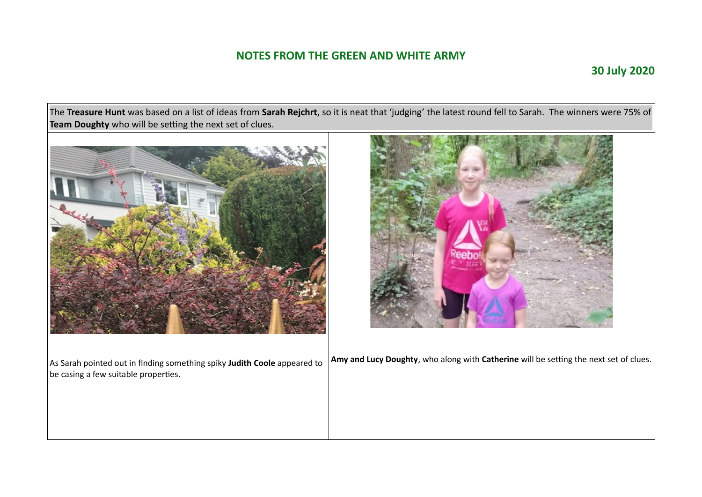### **30 July 2020**

The **Treasure Hunt** was based on a list of ideas from **Sarah Rejchrt**, so it is neat that 'judging' the latest round fell to Sarah. The winners were 75% of **Team Doughty** who will be setting the next set of clues.



As Sarah pointed out in finding something spiky **Judith Coole** appeared to be casing a few suitable properties.



**Amy and Lucy Doughty**, who along with **Catherine** will be setting the next set of clues.